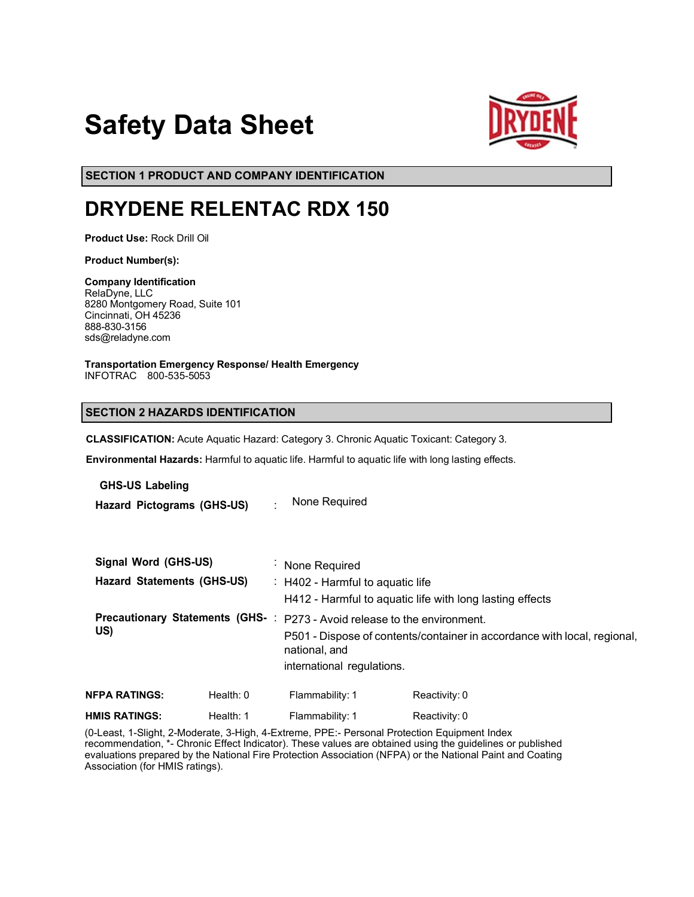# **Safety Data Sheet**



**SECTION 1 PRODUCT AND COMPANY IDENTIFICATION**

# **DRYDENE RELENTAC RDX 150**

**Product Use:** Rock Drill Oil

**Product Number(s):**

**Company Identification** RelaDyne, LLC 8280 Montgomery Road, Suite 101 Cincinnati, OH 45236 888-830-3156 sds@reladyne.com

**Transportation Emergency Response/ Health Emergency** INFOTRAC 800-535-5053

# **SECTION 2 HAZARDS IDENTIFICATION**

**CLASSIFICATION:** Acute Aquatic Hazard: Category 3. Chronic Aquatic Toxicant: Category 3.

**Environmental Hazards:** Harmful to aquatic life. Harmful to aquatic life with long lasting effects.

**GHS-US Labeling**

**Hazard Pictograms (GHS-US)** : None Required

| Signal Word (GHS-US)<br><b>Hazard Statements (GHS-US)</b> |             | : None Required<br>: H402 - Harmful to aquatic life<br>H412 - Harmful to aquatic life with long lasting effects                                                                                     |                 |               |
|-----------------------------------------------------------|-------------|-----------------------------------------------------------------------------------------------------------------------------------------------------------------------------------------------------|-----------------|---------------|
| US)                                                       |             | Precautionary Statements (GHS-: P273 - Avoid release to the environment.<br>P501 - Dispose of contents/container in accordance with local, regional,<br>national, and<br>international regulations. |                 |               |
| <b>NFPA RATINGS:</b>                                      | Health: $0$ |                                                                                                                                                                                                     | Flammability: 1 | Reactivity: 0 |
| <b>HMIS RATINGS:</b>                                      | Health: 1   |                                                                                                                                                                                                     | Flammability: 1 | Reactivity: 0 |

(0-Least, 1-Slight, 2-Moderate, 3-High, 4-Extreme, PPE:- Personal Protection Equipment Index recommendation, \*- Chronic Effect Indicator). These values are obtained using the guidelines or published evaluations prepared by the National Fire Protection Association (NFPA) or the National Paint and Coating Association (for HMIS ratings).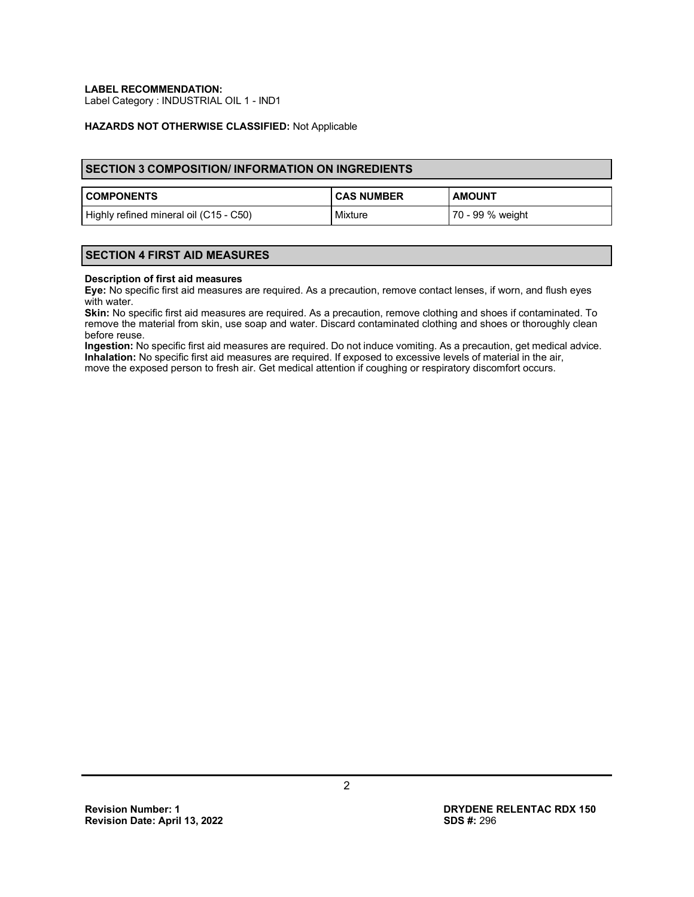**LABEL RECOMMENDATION:**

Label Category : INDUSTRIAL OIL 1 - IND1

### **HAZARDS NOT OTHERWISE CLASSIFIED:** Not Applicable

## **SECTION 3 COMPOSITION/ INFORMATION ON INGREDIENTS**

| <b>COMPONENTS</b>                      | <b>CAS NUMBER</b> | <b>AMOUNT</b>    |
|----------------------------------------|-------------------|------------------|
| Highly refined mineral oil (C15 - C50) | Mixture           | 70 - 99 % weight |

# **SECTION 4 FIRST AID MEASURES**

#### **Description of first aid measures**

**Eye:** No specific first aid measures are required. As a precaution, remove contact lenses, if worn, and flush eyes with water.

**Skin:** No specific first aid measures are required. As a precaution, remove clothing and shoes if contaminated. To remove the material from skin, use soap and water. Discard contaminated clothing and shoes or thoroughly clean before reuse.

**Ingestion:** No specific first aid measures are required. Do not induce vomiting. As a precaution, get medical advice. **Inhalation:** No specific first aid measures are required. If exposed to excessive levels of material in the air, move the exposed person to fresh air. Get medical attention if coughing or respiratory discomfort occurs.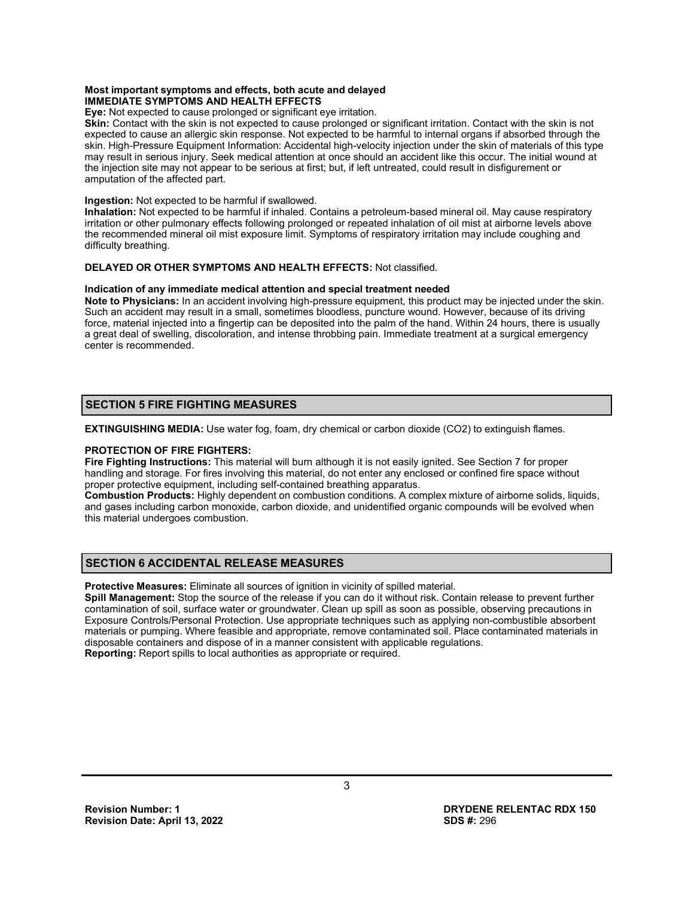#### **Most important symptoms and effects, both acute and delayed IMMEDIATE SYMPTOMS AND HEALTH EFFECTS**

**Eye:** Not expected to cause prolonged or significant eye irritation.

**Skin:** Contact with the skin is not expected to cause prolonged or significant irritation. Contact with the skin is not expected to cause an allergic skin response. Not expected to be harmful to internal organs if absorbed through the skin. High-Pressure Equipment Information: Accidental high-velocity injection under the skin of materials of this type may result in serious injury. Seek medical attention at once should an accident like this occur. The initial wound at the injection site may not appear to be serious at first; but, if left untreated, could result in disfigurement or amputation of the affected part.

#### **Ingestion:** Not expected to be harmful if swallowed.

**Inhalation:** Not expected to be harmful if inhaled. Contains a petroleum-based mineral oil. May cause respiratory irritation or other pulmonary effects following prolonged or repeated inhalation of oil mist at airborne levels above the recommended mineral oil mist exposure limit. Symptoms of respiratory irritation may include coughing and difficulty breathing.

# **DELAYED OR OTHER SYMPTOMS AND HEALTH EFFECTS:** Not classified.

#### **Indication of any immediate medical attention and special treatment needed**

**Note to Physicians:** In an accident involving high-pressure equipment, this product may be injected under the skin. Such an accident may result in a small, sometimes bloodless, puncture wound. However, because of its driving force, material injected into a fingertip can be deposited into the palm of the hand. Within 24 hours, there is usually a great deal of swelling, discoloration, and intense throbbing pain. Immediate treatment at a surgical emergency center is recommended.

# **SECTION 5 FIRE FIGHTING MEASURES**

**EXTINGUISHING MEDIA:** Use water fog, foam, dry chemical or carbon dioxide (CO2) to extinguish flames.

#### **PROTECTION OF FIRE FIGHTERS:**

**Fire Fighting Instructions:** This material will burn although it is not easily ignited. See Section 7 for proper handling and storage. For fires involving this material, do not enter any enclosed or confined fire space without proper protective equipment, including self-contained breathing apparatus.

**Combustion Products:** Highly dependent on combustion conditions. A complex mixture of airborne solids, liquids, and gases including carbon monoxide, carbon dioxide, and unidentified organic compounds will be evolved when this material undergoes combustion.

# **SECTION 6 ACCIDENTAL RELEASE MEASURES**

**Protective Measures:** Eliminate all sources of ignition in vicinity of spilled material.

**Spill Management:** Stop the source of the release if you can do it without risk. Contain release to prevent further contamination of soil, surface water or groundwater. Clean up spill as soon as possible, observing precautions in Exposure Controls/Personal Protection. Use appropriate techniques such as applying non-combustible absorbent materials or pumping. Where feasible and appropriate, remove contaminated soil. Place contaminated materials in disposable containers and dispose of in a manner consistent with applicable regulations. **Reporting:** Report spills to local authorities as appropriate or required.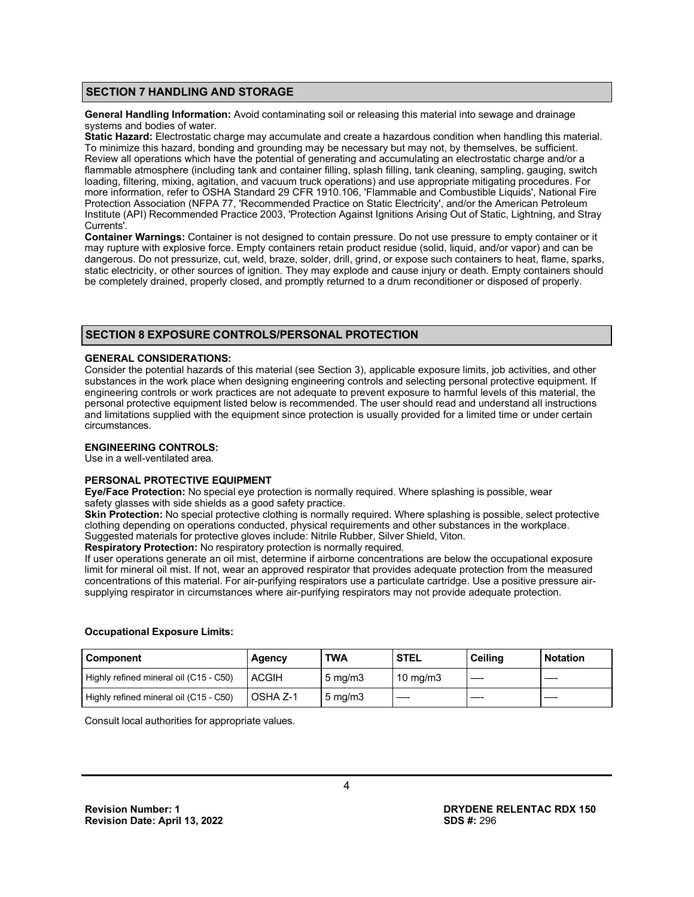# **SECTION 7 HANDLING AND STORAGE**

**General Handling Information:** Avoid contaminating soil or releasing this material into sewage and drainage systems and bodies of water.

**Static Hazard:** Electrostatic charge may accumulate and create a hazardous condition when handling this material. To minimize this hazard, bonding and grounding may be necessary but may not, by themselves, be sufficient. Review all operations which have the potential of generating and accumulating an electrostatic charge and/or a flammable atmosphere (including tank and container filling, splash filling, tank cleaning, sampling, gauging, switch loading, filtering, mixing, agitation, and vacuum truck operations) and use appropriate mitigating procedures. For more information, refer to OSHA Standard 29 CFR 1910.106, 'Flammable and Combustible Liquids', National Fire Protection Association (NFPA 77, 'Recommended Practice on Static Electricity', and/or the American Petroleum Institute (API) Recommended Practice 2003, 'Protection Against Ignitions Arising Out of Static, Lightning, and Stray Currents'.

**Container Warnings:** Container is not designed to contain pressure. Do not use pressure to empty container or it may rupture with explosive force. Empty containers retain product residue (solid, liquid, and/or vapor) and can be dangerous. Do not pressurize, cut, weld, braze, solder, drill, grind, or expose such containers to heat, flame, sparks, static electricity, or other sources of ignition. They may explode and cause injury or death. Empty containers should be completely drained, properly closed, and promptly returned to a drum reconditioner or disposed of properly.

# **SECTION 8 EXPOSURE CONTROLS/PERSONAL PROTECTION**

#### **GENERAL CONSIDERATIONS:**

Consider the potential hazards of this material (see Section 3), applicable exposure limits, job activities, and other substances in the work place when designing engineering controls and selecting personal protective equipment. If engineering controls or work practices are not adequate to prevent exposure to harmful levels of this material, the personal protective equipment listed below is recommended. The user should read and understand all instructions and limitations supplied with the equipment since protection is usually provided for a limited time or under certain circumstances.

# **ENGINEERING CONTROLS:**

Use in a well-ventilated area.

#### **PERSONAL PROTECTIVE EQUIPMENT**

**Eye/Face Protection:** No special eye protection is normally required. Where splashing is possible, wear safety glasses with side shields as a good safety practice.

**Skin Protection:** No special protective clothing is normally required. Where splashing is possible, select protective clothing depending on operations conducted, physical requirements and other substances in the workplace. Suggested materials for protective gloves include: Nitrile Rubber, Silver Shield, Viton.

**Respiratory Protection:** No respiratory protection is normally required.

If user operations generate an oil mist, determine if airborne concentrations are below the occupational exposure limit for mineral oil mist. If not, wear an approved respirator that provides adequate protection from the measured concentrations of this material. For air-purifying respirators use a particulate cartridge. Use a positive pressure airsupplying respirator in circumstances where air-purifying respirators may not provide adequate protection.

#### **Occupational Exposure Limits:**

| Component                              | Agency   | TWA              | <b>STEL</b> | Ceilina | <b>Notation</b> |
|----------------------------------------|----------|------------------|-------------|---------|-----------------|
| Highly refined mineral oil (C15 - C50) | ACGIH    | $5 \text{ mg/m}$ | 10 mg/m $3$ |         |                 |
| Highly refined mineral oil (C15 - C50) | OSHA Z-1 | $5 \text{ mg/m}$ |             |         |                 |

Consult local authorities for appropriate values.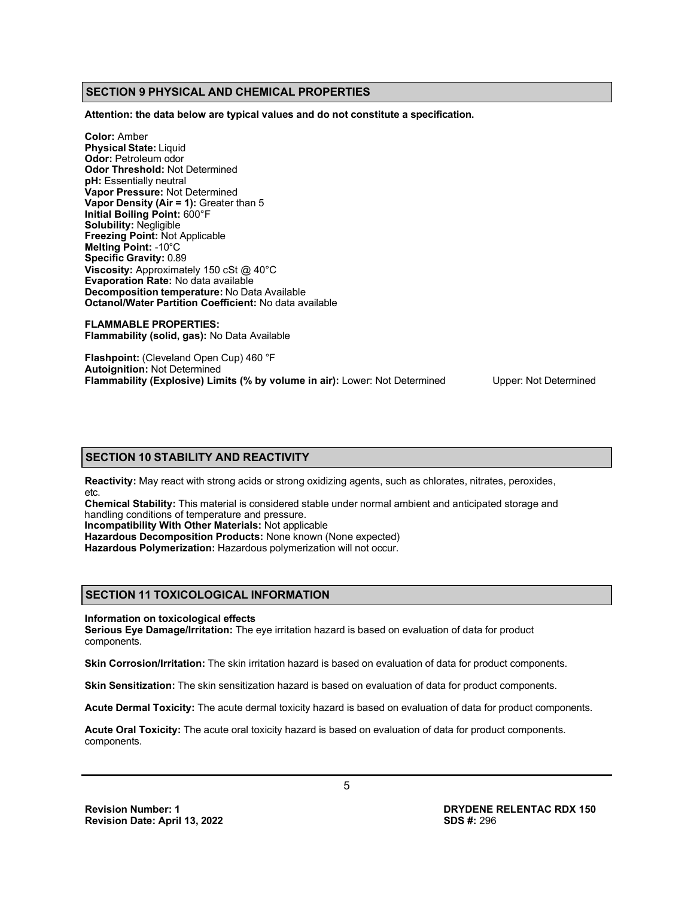# **SECTION 9 PHYSICAL AND CHEMICAL PROPERTIES**

**Attention: the data below are typical values and do not constitute a specification.**

**Color:** Amber **Physical State:** Liquid **Odor:** Petroleum odor **Odor Threshold:** Not Determined **pH:** Essentially neutral **Vapor Pressure:** Not Determined **Vapor Density (Air = 1):** Greater than 5 **Initial Boiling Point:** 600°F **Solubility:** Negligible **Freezing Point:** Not Applicable **Melting Point:** -10°C **Specific Gravity:** 0.89 **Viscosity:** Approximately 150 cSt @ 40°C **Evaporation Rate:** No data available **Decomposition temperature:** No Data Available **Octanol/Water Partition Coefficient:** No data available

**FLAMMABLE PROPERTIES: Flammability (solid, gas):** No Data Available

**Flashpoint:** (Cleveland Open Cup) 460 °F **Autoignition:** Not Determined **Flammability (Explosive) Limits (% by volume in air):** Lower: Not Determined Upper: Not Determined

#### **SECTION 10 STABILITY AND REACTIVITY**

**Reactivity:** May react with strong acids or strong oxidizing agents, such as chlorates, nitrates, peroxides, etc.

**Chemical Stability:** This material is considered stable under normal ambient and anticipated storage and handling conditions of temperature and pressure.

**Incompatibility With Other Materials:** Not applicable

**Hazardous Decomposition Products:** None known (None expected)

**Hazardous Polymerization:** Hazardous polymerization will not occur.

# **SECTION 11 TOXICOLOGICAL INFORMATION**

#### **Information on toxicological effects**

**Serious Eye Damage/Irritation:** The eye irritation hazard is based on evaluation of data for product components.

**Skin Corrosion/Irritation:** The skin irritation hazard is based on evaluation of data for product components.

**Skin Sensitization:** The skin sensitization hazard is based on evaluation of data for product components.

**Acute Dermal Toxicity:** The acute dermal toxicity hazard is based on evaluation of data for product components.

**Acute Oral Toxicity:** The acute oral toxicity hazard is based on evaluation of data for product components. components.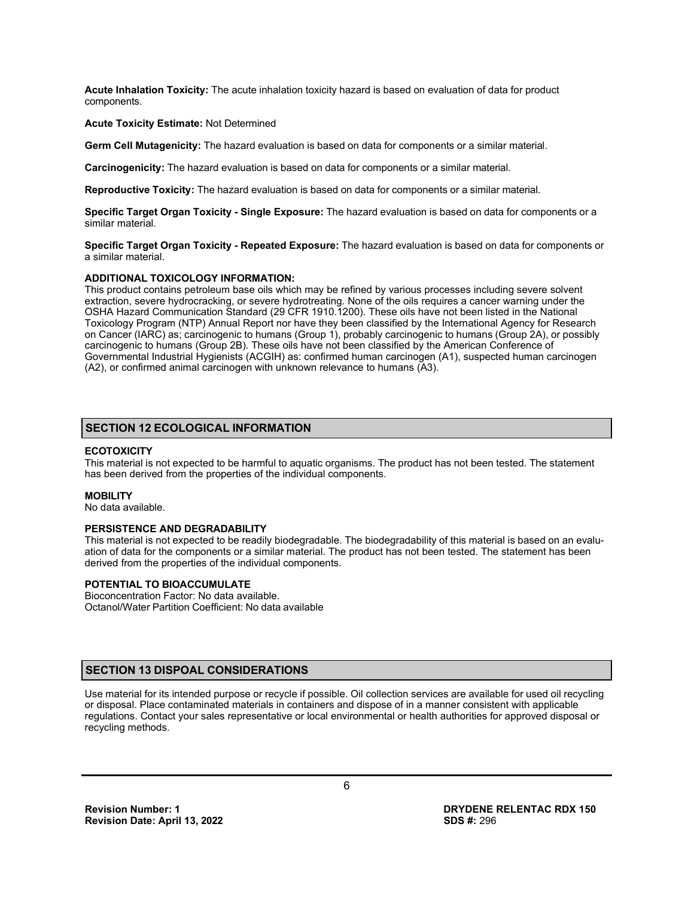**Acute Inhalation Toxicity:** The acute inhalation toxicity hazard is based on evaluation of data for product components.

#### **Acute Toxicity Estimate:** Not Determined

**Germ Cell Mutagenicity:** The hazard evaluation is based on data for components or a similar material.

**Carcinogenicity:** The hazard evaluation is based on data for components or a similar material.

**Reproductive Toxicity:** The hazard evaluation is based on data for components or a similar material.

**Specific Target Organ Toxicity - Single Exposure:** The hazard evaluation is based on data for components or a similar material.

**Specific Target Organ Toxicity - Repeated Exposure:** The hazard evaluation is based on data for components or a similar material.

#### **ADDITIONAL TOXICOLOGY INFORMATION:**

This product contains petroleum base oils which may be refined by various processes including severe solvent extraction, severe hydrocracking, or severe hydrotreating. None of the oils requires a cancer warning under the OSHA Hazard Communication Standard (29 CFR 1910.1200). These oils have not been listed in the National Toxicology Program (NTP) Annual Report nor have they been classified by the International Agency for Research on Cancer (IARC) as; carcinogenic to humans (Group 1), probably carcinogenic to humans (Group 2A), or possibly carcinogenic to humans (Group 2B). These oils have not been classified by the American Conference of Governmental Industrial Hygienists (ACGIH) as: confirmed human carcinogen (A1), suspected human carcinogen (A2), or confirmed animal carcinogen with unknown relevance to humans (A3).

#### **SECTION 12 ECOLOGICAL INFORMATION**

#### **ECOTOXICITY**

This material is not expected to be harmful to aquatic organisms. The product has not been tested. The statement has been derived from the properties of the individual components.

#### **MOBILITY**

No data available.

#### **PERSISTENCE AND DEGRADABILITY**

This material is not expected to be readily biodegradable. The biodegradability of this material is based on an evaluation of data for the components or a similar material. The product has not been tested. The statement has been derived from the properties of the individual components.

#### **POTENTIAL TO BIOACCUMULATE**

Bioconcentration Factor: No data available. Octanol/Water Partition Coefficient: No data available

#### **SECTION 13 DISPOAL CONSIDERATIONS**

Use material for its intended purpose or recycle if possible. Oil collection services are available for used oil recycling or disposal. Place contaminated materials in containers and dispose of in a manner consistent with applicable regulations. Contact your sales representative or local environmental or health authorities for approved disposal or recycling methods.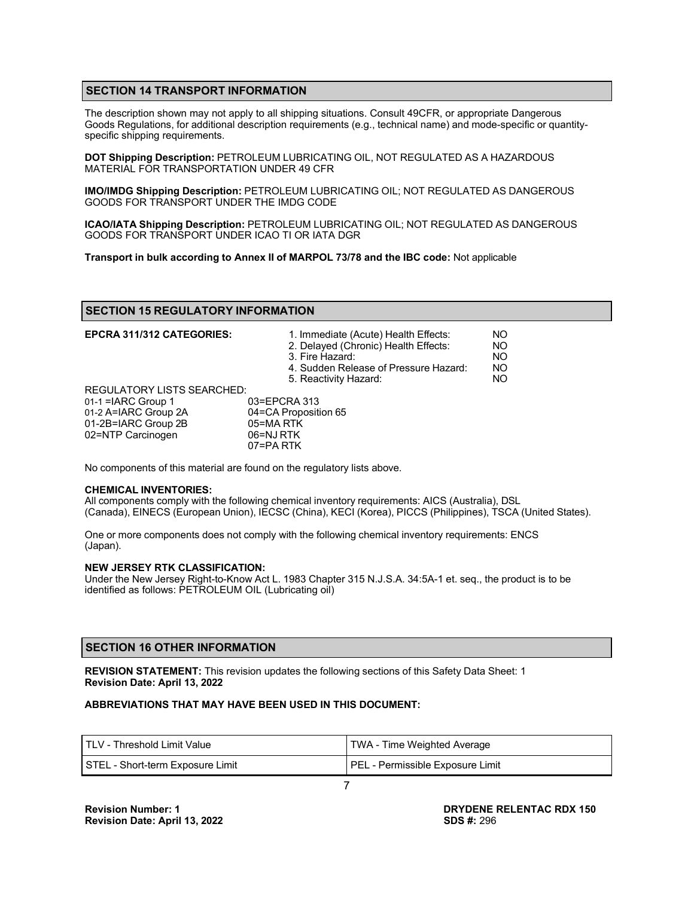# **SECTION 14 TRANSPORT INFORMATION**

The description shown may not apply to all shipping situations. Consult 49CFR, or appropriate Dangerous Goods Regulations, for additional description requirements (e.g., technical name) and mode-specific or quantityspecific shipping requirements.

**DOT Shipping Description:** PETROLEUM LUBRICATING OIL, NOT REGULATED AS A HAZARDOUS MATERIAL FOR TRANSPORTATION UNDER 49 CFR

**IMO/IMDG Shipping Description:** PETROLEUM LUBRICATING OIL; NOT REGULATED AS DANGEROUS GOODS FOR TRANSPORT UNDER THE IMDG CODE

**ICAO/IATA Shipping Description:** PETROLEUM LUBRICATING OIL; NOT REGULATED AS DANGEROUS GOODS FOR TRANSPORT UNDER ICAO TI OR IATA DGR

**Transport in bulk according to Annex II of MARPOL 73/78 and the IBC code:** Not applicable

# **SECTION 15 REGULATORY INFORMATION**

| <b>EPCRA 311/312 CATEGORIES:</b>  | 1. Immediate (Acute) Health Effects:<br>2. Delayed (Chronic) Health Effects:<br>3. Fire Hazard:<br>4. Sudden Release of Pressure Hazard:<br>5. Reactivity Hazard: | NO<br>NO<br><b>NO</b><br><b>NO</b><br><b>NO</b> |
|-----------------------------------|-------------------------------------------------------------------------------------------------------------------------------------------------------------------|-------------------------------------------------|
| <b>REGULATORY LISTS SEARCHED:</b> |                                                                                                                                                                   |                                                 |
| $01-1$ = IARC Group 1             | 03=EPCRA 313                                                                                                                                                      |                                                 |
| 01-2 A=IARC Group 2A              | 04=CA Proposition 65                                                                                                                                              |                                                 |
| 01-2B=IARC Group 2B               | 05=MA RTK                                                                                                                                                         |                                                 |
| 02=NTP Carcinogen                 | 06=NJ RTK                                                                                                                                                         |                                                 |
|                                   | 07=PA RTK                                                                                                                                                         |                                                 |

No components of this material are found on the regulatory lists above.

#### **CHEMICAL INVENTORIES:**

All components comply with the following chemical inventory requirements: AICS (Australia), DSL (Canada), EINECS (European Union), IECSC (China), KECI (Korea), PICCS (Philippines), TSCA (United States).

One or more components does not comply with the following chemical inventory requirements: ENCS (Japan).

#### **NEW JERSEY RTK CLASSIFICATION:**

Under the New Jersey Right-to-Know Act L. 1983 Chapter 315 N.J.S.A. 34:5A-1 et. seq., the product is to be identified as follows: PETROLEUM OIL (Lubricating oil)

# **SECTION 16 OTHER INFORMATION**

**REVISION STATEMENT:** This revision updates the following sections of this Safety Data Sheet: 1 **Revision Date: April 13, 2022**

#### **ABBREVIATIONS THAT MAY HAVE BEEN USED IN THIS DOCUMENT:**

| I TLV - Threshold Limit Value    | TWA - Time Weighted Average      |
|----------------------------------|----------------------------------|
| STEL - Short-term Exposure Limit | PEL - Permissible Exposure Limit |
|                                  |                                  |

**DRYDENE RELENTAC RDX 150 SDS #:** 296